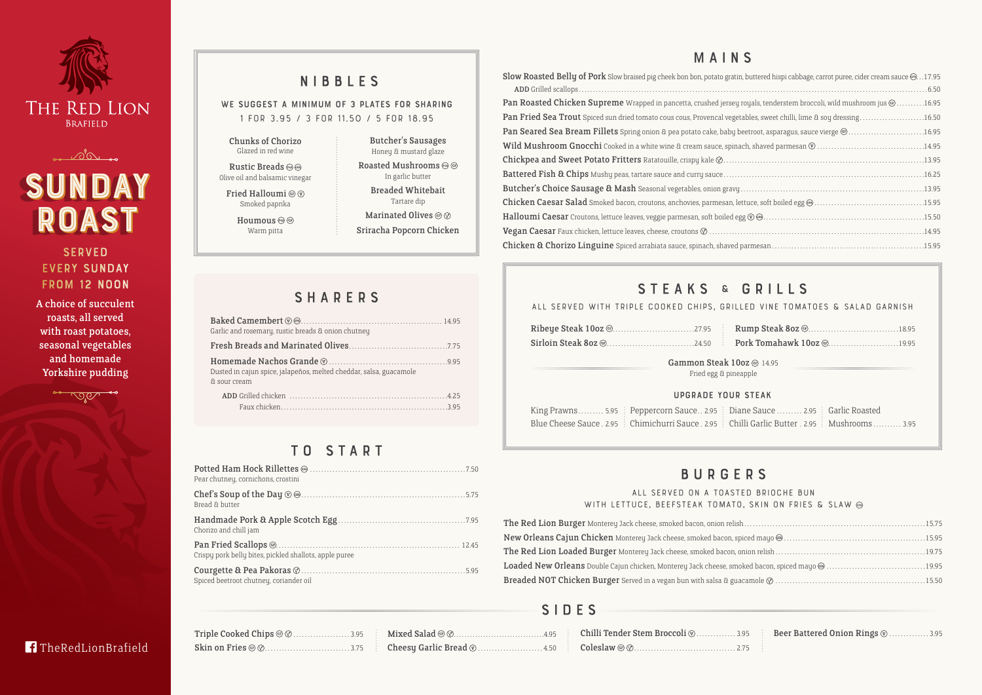# Slow Roasted Belly of Pork Slow braised pig cheek bon bon, potato gratin, Add Grilled scallops . . . . . . . . . . . . . . . . . . . . . . . . . . . . . . . . . . . . . . . . . . . . . . . . . . . . . . . . . . . . . . . . . . . . . . . . . . . . . . . . . . . . . . . . . . . . . . . . . . . . . . . . . . . . . . . . . . . . . . . . . . 6.50 Pan Roasted Chicken Supreme Wrapped in pancetta, crushed jersey r Pan Fried Sea Trout Spiced sun dried tomato cous cous, Provencal vegeta Pan Seared Sea Bream Fillets Spring onion & pea potato cake, baby be Wild Mushroom Gnocchi Cooked in a white wine & cream sauce, spinach, shaved parameters Chickpea and Sweet Potato Fritters Ratatouille, crispy kale  $\oslash$ ....... Battered Fish & Chips Mushy peas, tartare sauce and curry sauce....... Butcher's Choice Sausage & Mash Seasonal vegetables, onion gravy.

Chicken Caesar Salad Smoked bacon, croutons, anchovies, parmesan, let Halloumi Caesar Croutons, lettuce leaves, veggie parmesan, soft boiled egg **Vegan Caesar** Faux chicken, lettuce leaves, cheese, croutons  $\emptyset$  ........... Chicken & Chorizo Linguine Spiced arrabiata sauce, spinach, shaved p

# STEAKS & GRILLS

|  | $\mathsf{I}\mathsf{S}\mathsf{al}\mathsf{ad} \circledcirc \circlearrowright \ldots \circlearrowright \ldots \circlearrowright \ldots \circlearrowleft \ldots \circlearrowleft \mathsf{A} \circlearrowleft \mathsf{B}\mathsf{ind}$ and $\mathsf{B}\mathsf{r}\mathsf{a}\mathsf{b}\mathsf{b}\mathsf{c}\mathsf{b}\mathsf{b}\mathsf{c}$ |
|--|-----------------------------------------------------------------------------------------------------------------------------------------------------------------------------------------------------------------------------------------------------------------------------------------------------------------------------------|
|  |                                                                                                                                                                                                                                                                                                                                   |

# T O S T A R T

WE SUGGEST A MINIMUM OF 3 PLATES FOR SHARING **1 for 3.95 / 3 for 11.50 / 5 for 18.95**

### **All served on a toasted brioche bun**  WITH LETTUCE, BEEFSTEAK TOMATO

The Red Lion Burger Monterey Jack cheese, smoked bacon, onion relish New Orleans Cajun Chicken Monterey Jack cheese, smoked bacon, sp. The Red Lion Loaded Burger Monterey Jack cheese, smoked bacon, or Loaded New Orleans Double Cajun chicken, Monterey Jack cheese, smo. Breaded NOT Chicken Burger Served in a vegan bun with salsa & gua

| Pear chutney, cornichons, crostini                     |  |
|--------------------------------------------------------|--|
| Bread & butter                                         |  |
| Chorizo and chill jam                                  |  |
| Crispy pork belly bites, pickled shallots, apple puree |  |
| Spiced beetroot chutney, coriander oil                 |  |

# NIBBLES

# BURGERS

# MAINS

| , buttered hispi cabbage, carrot puree, cider cream sauce @17.95               |  |
|--------------------------------------------------------------------------------|--|
|                                                                                |  |
| oyals, tenderstem broccoli, wild mushroom jus $@$ $\ldots\ldots\ldots$ 16.95   |  |
| ables, sweet chilli, lime & soy dressing16.50                                  |  |
| $\text{eetroot}, \text{asparagus}, \text{save vierge} @ \dots 0 @ \dots 16.95$ |  |
|                                                                                |  |
|                                                                                |  |
|                                                                                |  |
|                                                                                |  |
|                                                                                |  |
|                                                                                |  |
|                                                                                |  |
|                                                                                |  |
|                                                                                |  |

**SERVED** every Sunday from 12 Noon

Rustic Breads Olive oil and balsamic vinegar Fried Halloumi @  $\circledcirc$ 

> Smoked paprika Houmous <sup>o</sup>

| Garlic and rosemary, rustic breads & onion chutney                                 |
|------------------------------------------------------------------------------------|
|                                                                                    |
| Dusted in cajun spice, jalapeños, melted cheddar, salsa, guacamole<br>& sour cream |
|                                                                                    |

A choice of succulent roasts, all served with roast potatoes, seasonal vegetables and homemade Yorkshire pudding



**TheRedLionBrafield** 

# S I D E S

| ALL SERVED WITH TRIPLE COOKED CHIPS, GRILLED VINE TOMATOES & SALAD GARNISH |
|----------------------------------------------------------------------------|
|                                                                            |
| Gammon Steak 10oz @ 14.95<br>Fried egg & pineapple                         |
| $IIPORAPE$ volin CTEAV                                                     |





Chunks of Chorizo Glazed in red wine

Warm pitta

Butcher's Sausages

Honey & mustard glaze Roasted Mushrooms  $\circledcirc$   $\circledcirc$ In garlic butter

> Breaded Whitebait Tartare dip

Marinated Olives @  $\oslash$ 

Sriracha Popcorn Chicken

# **SHARERS**

### Upgrade your steak

King Prawns . . . . . . . . 5.95  $\,$  Peppercorn Sauce . . 2.95  $\,$  Diane Sauce . . . . . . . . 2.95 Blue Cheese Sauce . 2.95 : Chimichurri Sauce . 2.95 : Chilli Garlic Butter . 2.95

| ne Sauce  2.95   Garlic Roasted |                                           |  |
|---------------------------------|-------------------------------------------|--|
|                                 | lli Garlic Butter . 2.95   Mushrooms 3.95 |  |

| ED DRIULAE DUN           |  |
|--------------------------|--|
| , SKIN ON FRIES & SLAW @ |  |
|                          |  |
|                          |  |
|                          |  |
|                          |  |
|                          |  |
|                          |  |

Beer Battered Onion Rings  $\circledcirc$  . . . . . . . . . . . 3.95